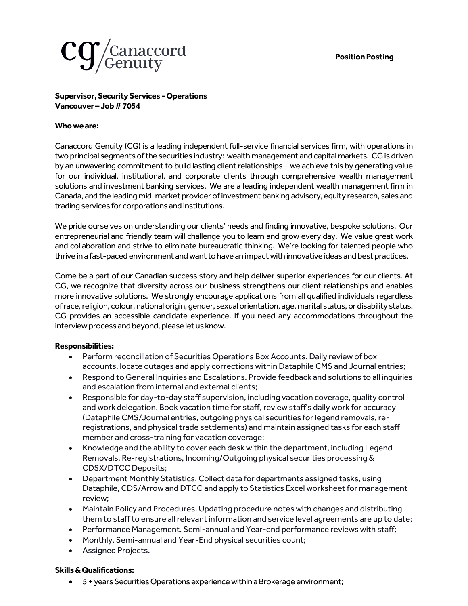

## **Supervisor, Security Services -Operations Vancouver – Job#7054**

## **Who we are:**

Canaccord Genuity (CG) is a leading independent full-service financial services firm, with operations in two principal segments of the securities industry: wealth management and capital markets. CG is driven by an unwavering commitment to build lasting client relationships – we achieve this by generating value for our individual, institutional, and corporate clients through comprehensive wealth management solutions and investment banking services. We are a leading independent wealth management firm in Canada, and the leading mid-market provider of investment banking advisory, equity research, sales and trading services for corporations and institutions.

We pride ourselves on understanding our clients' needs and finding innovative, bespoke solutions. Our entrepreneurial and friendly team will challenge you to learn and grow every day. We value great work and collaboration and strive to eliminate bureaucratic thinking. We're looking for talented people who thrive in a fast-paced environment and want to have an impact with innovative ideas and best practices.

Come be a part of our Canadian success story and help deliver superior experiences for our clients. At CG, we recognize that diversity across our business strengthens our client relationships and enables more innovative solutions. We strongly encourage applications from all qualified individuals regardless of race, religion, colour, national origin, gender, sexual orientation, age, marital status, or disability status. CG provides an accessible candidate experience. If you need any accommodations throughout the interview process and beyond, please let us know.

## **Responsibilities:**

- Perform reconciliation of Securities Operations Box Accounts. Daily review of box accounts, locate outages and apply corrections within Dataphile CMS and Journal entries;
- Respond to General Inquiries and Escalations. Provide feedback and solutions to all inquiries and escalation from internal and external clients;
- Responsible for day-to-day staff supervision, including vacation coverage, quality control and work delegation. Book vacation time for staff, review staff's daily work for accuracy (Dataphile CMS/Journal entries, outgoing physical securities for legend removals, reregistrations, and physical trade settlements) and maintain assigned tasks for each staff member and cross-training for vacation coverage;
- Knowledge and the ability to cover each desk within the department, including Legend Removals, Re-registrations, Incoming/Outgoing physical securities processing & CDSX/DTCC Deposits;
- Department Monthly Statistics. Collect data for departments assigned tasks, using Dataphile, CDS/Arrow and DTCC and apply to Statistics Excel worksheet for management review;
- Maintain Policy and Procedures. Updating procedure notes with changes and distributing them to staff to ensure all relevant information and service level agreements are up to date;
- Performance Management. Semi-annual and Year-end performance reviews with staff;
- Monthly, Semi-annual and Year-End physical securities count;
- Assigned Projects.

## **Skills & Qualifications:**

• 5 + years Securities Operations experiencewithin a Brokerage environment;